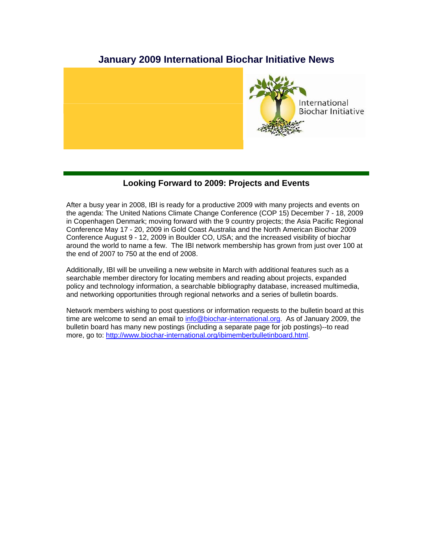# **January 2009 International Biochar Initiative News**



## **Looking Forward to 2009: Projects and Events**

After a busy year in 2008, IBI is ready for a productive 2009 with many projects and events on the agenda: The United Nations Climate Change Conference (COP 15) December 7 - 18, 2009 in Copenhagen Denmark; moving forward with the 9 country projects; the Asia Pacific Regional Conference May 17 - 20, 2009 in Gold Coast Australia and the North American Biochar 2009 Conference August 9 - 12, 2009 in Boulder CO, USA; and the increased visibility of biochar around the world to name a few. The IBI network membership has grown from just over 100 at the end of 2007 to 750 at the end of 2008.

Additionally, IBI will be unveiling a new website in March with additional features such as a searchable member directory for locating members and reading about projects, expanded policy and technology information, a searchable bibliography database, increased multimedia, and networking opportunities through regional networks and a series of bulletin boards.

Network members wishing to post questions or information requests to the bulletin board at this time are welcome to send an email to info@biochar-international.org. As of January 2009, the bulletin board has many new postings (including a separate page for job postings)--to read more, go to: http://www.biochar-international.org/ibimemberbulletinboard.html.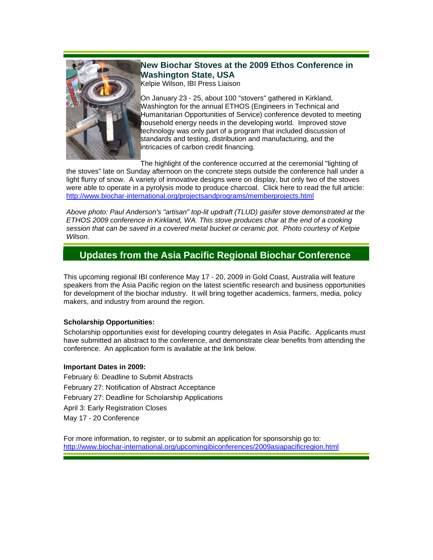

 $\overline{\phantom{a}}$ 

# **New Biochar Stoves at the 2009 Ethos Conference in Washington State, USA**

Kelpie Wilson, IBI Press Liaison

On January 23 - 25, about 100 "stovers" gathered in Kirkland, Washington for the annual ETHOS (Engineers in Technical and Humanitarian Opportunities of Service) conference devoted to meeting household energy needs in the developing world. Improved stove technology was only part of a program that included discussion of standards and testing, distribution and manufacturing, and the intricacies of carbon credit financing.  $\overline{\phantom{a}}$ 

The highlight of the conference occurred at the ceremonial "lighting of the stoves" late on Sunday afternoon on the concrete steps outside the conference hall under a light flurry of snow. A variety of innovative designs were on display, but only two of the stoves were able to operate in a pyrolysis mode to produce charcoal. Click here to read the full article: http://www.biochar-international.org/projectsandprograms/memberprojects.html

*Above photo: Paul Anderson's "artisan" top-lit updraft (TLUD) gasifer stove demonstrated at the ETHOS 2009 conference in Kirkland, WA. This stove produces char at the end of a cooking session that can be saved in a covered metal bucket or ceramic pot. Photo courtesy of Kelpie Wilson.*

# **Updates from the Asia Pacific Regional Biochar Conference**

This upcoming regional IBI conference May 17 - 20, 2009 in Gold Coast, Australia will feature speakers from the Asia Pacific region on the latest scientific research and business opportunities for development of the biochar industry. It will bring together academics, farmers, media, policy makers, and industry from around the region.

## **Scholarship Opportunities:**

Scholarship opportunities exist for developing country delegates in Asia Pacific. Applicants must have submitted an abstract to the conference, and demonstrate clear benefits from attending the conference. An application form is available at the link below.

## **Important Dates in 2009:**

February 6: Deadline to Submit Abstracts February 27: Notification of Abstract Acceptance February 27: Deadline for Scholarship Applications April 3: Early Registration Closes May 17 - 20 Conference

For more information, to register, or to submit an application for sponsorship go to: http://www.biochar-international.org/upcomingibiconferences/2009asiapacificregion.html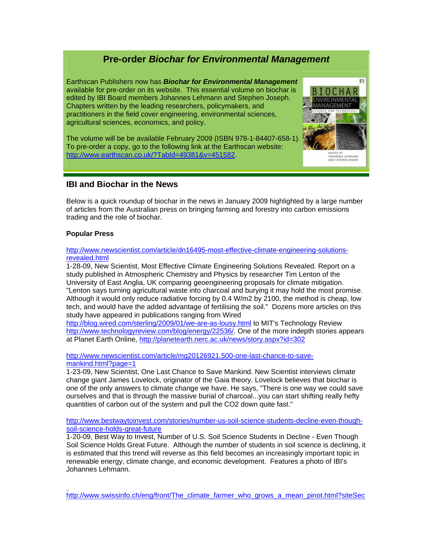# **Pre-order** *Biochar for Environmental Management*

Earthscan Publishers now has *Biochar for Environmental Management* available for pre-order on its website. This essential volume on biochar is edited by IBI Board members Johannes Lehmann and Stephen Joseph. Chapters written by the leading researchers, policymakers, and practitioners in the field cover engineering, environmental sciences, agricultural sciences, economics, and policy.

The volume will be be available February 2009 (ISBN 978-1-84407-658-1). To pre-order a copy, go to the following link at the Earthscan website: http://www.earthscan.co.uk/?TabId=49381&v=451582.



## **IBI and Biochar in the News**

Below is a quick roundup of biochar in the news in January 2009 highlighted by a large number of articles from the Australian press on bringing farming and forestry into carbon emissions trading and the role of biochar.

## **Popular Press**

#### http://www.newscientist.com/article/dn16495-most-effective-climate-engineering-solutionsrevealed.html

1-28-09, New Scientist, Most Effective Climate Engineering Solutions Revealed. Report on a study published in Atmospheric Chemistry and Physics by researcher Tim Lenton of the University of East Anglia, UK comparing geoengineering proposals for climate mitigation. "Lenton says turning agricultural waste into charcoal and burying it may hold the most promise. Although it would only reduce radiative forcing by 0.4 W/m2 by 2100, the method is cheap, low tech, and would have the added advantage of fertilising the soil." Dozens more articles on this study have appeared in publications ranging from Wired

http://blog.wired.com/sterling/2009/01/we-are-as-lousy.html to MIT's Technology Review http://www.technologyreview.com/blog/energy/22536/. One of the more indepth stories appears at Planet Earth Online, http://planetearth.nerc.ac.uk/news/story.aspx?id=302

http://www.newscientist.com/article/mg20126921.500-one-last-chance-to-savemankind.html?page=1

1-23-09, New Scientist, One Last Chance to Save Mankind. New Scientist interviews climate change giant James Lovelock, originator of the Gaia theory. Lovelock believes that biochar is one of the only answers to climate change we have. He says, "There is one way we could save ourselves and that is through the massive burial of charcoal...you can start shifting really hefty quantities of carbon out of the system and pull the CO2 down quite fast."

http://www.bestwaytoinvest.com/stories/number-us-soil-science-students-decline-even-thoughsoil-science-holds-great-future

1-20-09, Best Way to Invest, Number of U.S. Soil Science Students in Decline - Even Though Soil Science Holds Great Future. Although the number of students in soil science is declining, it is estimated that this trend will reverse as this field becomes an increasingly important topic in renewable energy, climate change, and economic development. Features a photo of IBI's Johannes Lehmann.

http://www.swissinfo.ch/eng/front/The\_climate\_farmer\_who\_grows\_a\_mean\_pinot.html?siteSec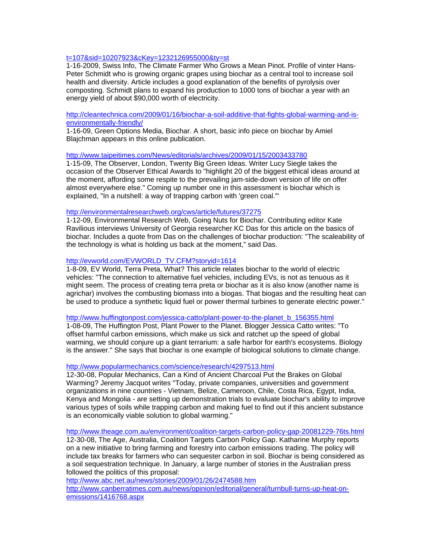#### t=107&sid=10207923&cKey=1232126955000&ty=st

1-16-2009, Swiss Info, The Climate Farmer Who Grows a Mean Pinot. Profile of vinter Hans-Peter Schmidt who is growing organic grapes using biochar as a central tool to increase soil health and diversity. Article includes a good explanation of the benefits of pyrolysis over composting. Schmidt plans to expand his production to 1000 tons of biochar a year with an energy yield of about \$90,000 worth of electricity.

http://cleantechnica.com/2009/01/16/biochar-a-soil-additive-that-fights-global-warming-and-isenvironmentally-friendly/

1-16-09, Green Options Media, Biochar. A short, basic info piece on biochar by Amiel Blajchman appears in this online publication.

http://www.taipeitimes.com/News/editorials/archives/2009/01/15/2003433780

1-15-09, The Observer, London, Twenty Big Green Ideas. Writer Lucy Siegle takes the occasion of the Observer Ethical Awards to "highlight 20 of the biggest ethical ideas around at the moment, affording some respite to the prevailing jam-side-down version of life on offer almost everywhere else." Coming up number one in this assessment is biochar which is explained, "In a nutshell: a way of trapping carbon with 'green coal.'"

#### http://environmentalresearchweb.org/cws/article/futures/37275

1-12-09, Environmental Research Web, Going Nuts for Biochar. Contributing editor Kate Ravilious interviews University of Georgia researcher KC Das for this article on the basics of biochar. Includes a quote from Das on the challenges of biochar production: "The scaleability of the technology is what is holding us back at the moment," said Das.

#### http://evworld.com/EVWORLD\_TV.CFM?storyid=1614

1-8-09, EV World, Terra Preta, What? This article relates biochar to the world of electric vehicles: "The connection to alternative fuel vehicles, including EVs, is not as tenuous as it might seem. The process of creating terra preta or biochar as it is also know (another name is agrichar) involves the combusting biomass into a biogas. That biogas and the resulting heat can be used to produce a synthetic liquid fuel or power thermal turbines to generate electric power."

#### http://www.huffingtonpost.com/jessica-catto/plant-power-to-the-planet\_b\_156355.html

1-08-09, The Huffington Post, Plant Power to the Planet. Blogger Jessica Catto writes: "To offset harmful carbon emissions, which make us sick and ratchet up the speed of global warming, we should conjure up a giant terrarium: a safe harbor for earth's ecosystems. Biology is the answer." She says that biochar is one example of biological solutions to climate change.

#### http://www.popularmechanics.com/science/research/4297513.html

12-30-08, Popular Mechanics, Can a Kind of Ancient Charcoal Put the Brakes on Global Warming? Jeremy Jacquot writes "Today, private companies, universities and government organizations in nine countries - Vietnam, Belize, Cameroon, Chile, Costa Rica, Egypt, India, Kenya and Mongolia - are setting up demonstration trials to evaluate biochar's ability to improve various types of soils while trapping carbon and making fuel to find out if this ancient substance is an economically viable solution to global warming."

http://www.theage.com.au/environment/coalition-targets-carbon-policy-gap-20081229-76ts.html 12-30-08, The Age, Australia, Coalition Targets Carbon Policy Gap. Katharine Murphy reports on a new initiative to bring farming and forestry into carbon emissions trading. The policy will include tax breaks for farmers who can sequester carbon in soil. Biochar is being considered as a soil sequestration technique. In January, a large number of stories in the Australian press followed the politics of this proposal:

http://www.abc.net.au/news/stories/2009/01/26/2474588.htm http://www.canberratimes.com.au/news/opinion/editorial/general/turnbull-turns-up-heat-onemissions/1416768.aspx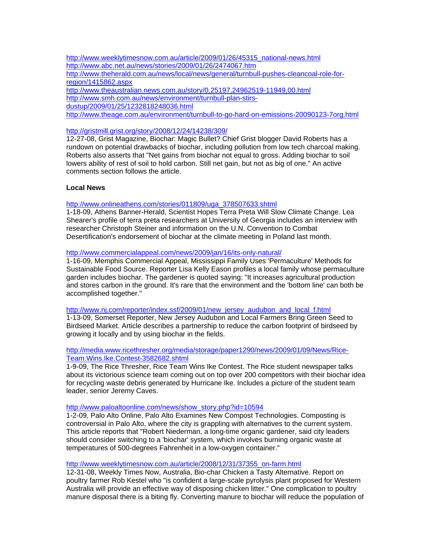http://www.weeklytimesnow.com.au/article/2009/01/26/45315\_national-news.html http://www.abc.net.au/news/stories/2009/01/26/2474067.htm http://www.theherald.com.au/news/local/news/general/turnbull-pushes-cleancoal-role-forregion/1415862.aspx http://www.theaustralian.news.com.au/story/0,25197,24962519-11949,00.html http://www.smh.com.au/news/environment/turnbull-plan-stirsdustup/2009/01/25/1232818248036.html http://www.theage.com.au/environment/turnbull-to-go-hard-on-emissions-20090123-7org.html

#### http://gristmill.grist.org/story/2008/12/24/14238/309/

12-27-08, Grist Magazine, Biochar: Magic Bullet? Chief Grist blogger David Roberts has a rundown on potential drawbacks of biochar, including pollution from low tech charcoal making. Roberts also asserts that "Net gains from biochar not equal to gross. Adding biochar to soil lowers ability of rest of soil to hold carbon. Still net gain, but not as big of one." An active comments section follows the article.

#### **Local News**

#### http://www.onlineathens.com/stories/011809/uga\_378507633.shtml

1-18-09, Athens Banner-Herald, Scientist Hopes Terra Preta Will Slow Climate Change. Lea Shearer's profile of terra preta researchers at University of Georgia includes an interview with researcher Christoph Steiner and information on the U.N. Convention to Combat Desertification's endorsement of biochar at the climate meeting in Poland last month.

## http://www.commercialappeal.com/news/2009/jan/16/its-only-natural/

1-16-09, Memphis Commercial Appeal, Mississippi Family Uses 'Permaculture' Methods for Sustainable Food Source. Reporter Lisa Kelly Eason profiles a local family whose permaculture garden includes biochar. The gardener is quoted saying: "It increases agricultural production and stores carbon in the ground. It's rare that the environment and the 'bottom line' can both be accomplished together."

http://www.nj.com/reporter/index.ssf/2009/01/new\_jersey\_audubon\_and\_local\_f.html

1-13-09, Somerset Reporter, New Jersey Audubon and Local Farmers Bring Green Seed to Birdseed Market. Article describes a partnership to reduce the carbon footprint of birdseed by growing it locally and by using biochar in the fields.

## http://media.www.ricethresher.org/media/storage/paper1290/news/2009/01/09/News/Rice-Team.Wins.Ike.Contest-3582682.shtml

1-9-09, The Rice Thresher, Rice Team Wins Ike Contest. The Rice student newspaper talks about its victorious science team coming out on top over 200 competitors with their biochar idea for recycling waste debris generated by Hurricane Ike. Includes a picture of the student team leader, senior Jeremy Caves.

#### http://www.paloaltoonline.com/news/show\_story.php?id=10594

1-2-09, Palo Alto Online, Palo Alto Examines New Compost Technologies. Composting is controversial in Palo Alto, where the city is grappling with alternatives to the current system. This article reports that "Robert Niederman, a long-time organic gardener, said city leaders should consider switching to a 'biochar' system, which involves burning organic waste at temperatures of 500-degrees Fahrenheit in a low-oxygen container."

### http://www.weeklytimesnow.com.au/article/2008/12/31/37355\_on-farm.html

12-31-08, Weekly Times Now, Australia, Bio-char Chicken a Tasty Alternative. Report on poultry farmer Rob Kestel who "is confident a large-scale pyrolysis plant proposed for Western Australia will provide an effective way of disposing chicken litter." One complication to poultry manure disposal there is a biting fly. Converting manure to biochar will reduce the population of